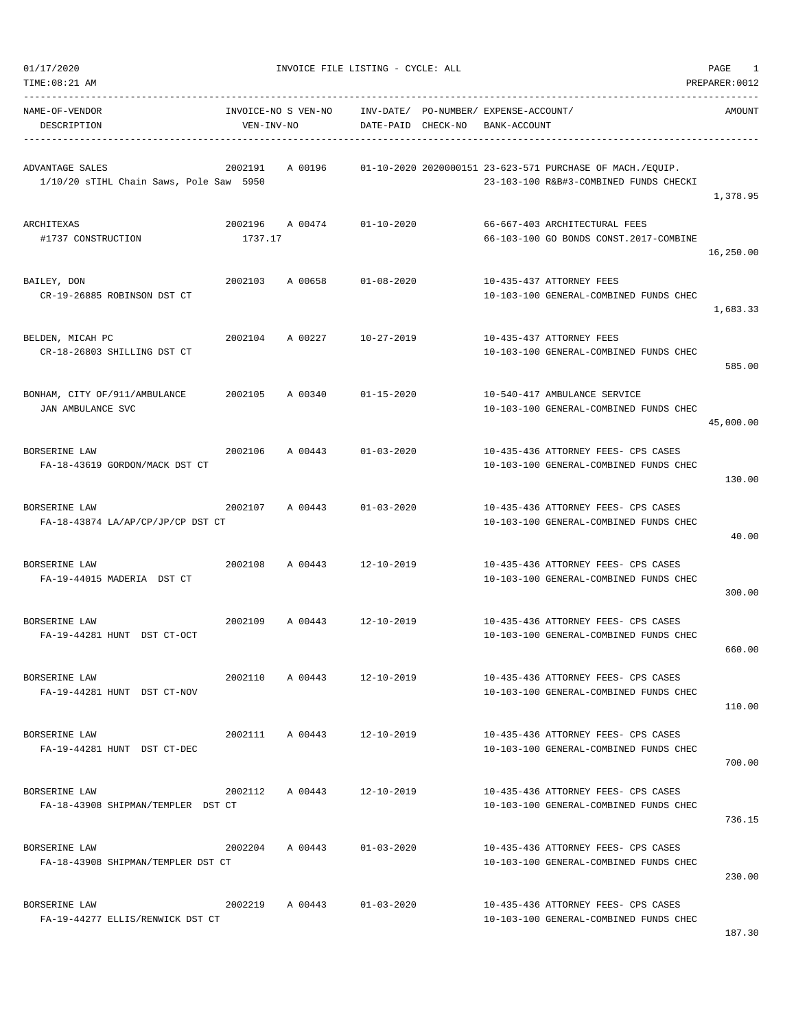| 01/17/2020 |  |
|------------|--|
|            |  |

| $TIME:08:21$ AM                                            |                                   |                            |                        |          |                                             |                                                                                                     | PREPARER: 0012 |
|------------------------------------------------------------|-----------------------------------|----------------------------|------------------------|----------|---------------------------------------------|-----------------------------------------------------------------------------------------------------|----------------|
| NAME-OF-VENDOR<br>DESCRIPTION                              | INVOICE-NO S VEN-NO<br>VEN-INV-NO |                            | INV-DATE/<br>DATE-PAID | CHECK-NO | PO-NUMBER/ EXPENSE-ACCOUNT/<br>BANK-ACCOUNT |                                                                                                     | AMOUNT         |
| ADVANTAGE SALES<br>1/10/20 sTIHL Chain Saws, Pole Saw 5950 | 2002191                           | A 00196                    |                        |          |                                             | 01-10-2020 2020000151 23-623-571 PURCHASE OF MACH./EQUIP.<br>23-103-100 R&B#3-COMBINED FUNDS CHECKI | 1,378.95       |
| ARCHITEXAS<br>#1737 CONSTRUCTION                           | 2002196<br>1737.17                | A 00474                    | $01 - 10 - 2020$       |          |                                             | 66-667-403 ARCHITECTURAL FEES<br>66-103-100 GO BONDS CONST.2017-COMBINE                             | 16,250.00      |
| BAILEY, DON<br>CR-19-26885 ROBINSON DST CT                 | 2002103                           | A 00658                    | $01 - 08 - 2020$       |          |                                             | 10-435-437 ATTORNEY FEES<br>10-103-100 GENERAL-COMBINED FUNDS CHEC                                  | 1,683.33       |
| BELDEN, MICAH PC<br>CR-18-26803 SHILLING DST CT            | 2002104                           | A 00227                    | $10 - 27 - 2019$       |          |                                             | 10-435-437 ATTORNEY FEES<br>10-103-100 GENERAL-COMBINED FUNDS CHEC                                  | 585.00         |
| BONHAM, CITY OF/911/AMBULANCE<br>JAN AMBULANCE SVC         | 2002105                           | A 00340                    | $01 - 15 - 2020$       |          |                                             | 10-540-417 AMBULANCE SERVICE<br>10-103-100 GENERAL-COMBINED FUNDS CHEC                              | 45,000.00      |
| BORSERINE LAW<br>FA-18-43619 GORDON/MACK DST CT            | 2002106                           | A 00443                    | $01 - 03 - 2020$       |          |                                             | 10-435-436 ATTORNEY FEES- CPS CASES<br>10-103-100 GENERAL-COMBINED FUNDS CHEC                       | 130.00         |
| BORSERINE LAW<br>FA-18-43874 LA/AP/CP/JP/CP DST CT         | 2002107                           | A 00443                    | $01 - 03 - 2020$       |          |                                             | 10-435-436 ATTORNEY FEES- CPS CASES<br>10-103-100 GENERAL-COMBINED FUNDS CHEC                       | 40.00          |
| BORSERINE LAW<br>FA-19-44015 MADERIA DST CT                | 2002108                           | A 00443                    | $12 - 10 - 2019$       |          |                                             | 10-435-436 ATTORNEY FEES- CPS CASES<br>10-103-100 GENERAL-COMBINED FUNDS CHEC                       | 300.00         |
| BORSERINE LAW<br>FA-19-44281 HUNT DST CT-OCT               | 2002109                           | A 00443                    | $12 - 10 - 2019$       |          |                                             | 10-435-436 ATTORNEY FEES- CPS CASES<br>10-103-100 GENERAL-COMBINED FUNDS CHEC                       | 660.00         |
| BORSERINE LAW<br>FA-19-44281 HUNT DST CT-NOV               | 2002110                           | A 00443                    | $12 - 10 - 2019$       |          |                                             | 10-435-436 ATTORNEY FEES- CPS CASES<br>10-103-100 GENERAL-COMBINED FUNDS CHEC                       | 110.00         |
| BORSERINE LAW<br>FA-19-44281 HUNT DST CT-DEC               |                                   | 2002111 A 00443 12-10-2019 |                        |          |                                             | 10-435-436 ATTORNEY FEES- CPS CASES<br>10-103-100 GENERAL-COMBINED FUNDS CHEC                       | 700.00         |
| BORSERINE LAW<br>FA-18-43908 SHIPMAN/TEMPLER DST CT        | 2002112                           | A 00443                    | 12-10-2019             |          |                                             | 10-435-436 ATTORNEY FEES- CPS CASES<br>10-103-100 GENERAL-COMBINED FUNDS CHEC                       | 736.15         |
| BORSERINE LAW<br>FA-18-43908 SHIPMAN/TEMPLER DST CT        | 2002204                           | A 00443                    | $01 - 03 - 2020$       |          |                                             | 10-435-436 ATTORNEY FEES- CPS CASES<br>10-103-100 GENERAL-COMBINED FUNDS CHEC                       | 230.00         |
| BORSERINE LAW<br>FA-19-44277 ELLIS/RENWICK DST CT          | 2002219                           | A 00443                    | $01 - 03 - 2020$       |          |                                             | 10-435-436 ATTORNEY FEES- CPS CASES<br>10-103-100 GENERAL-COMBINED FUNDS CHEC                       |                |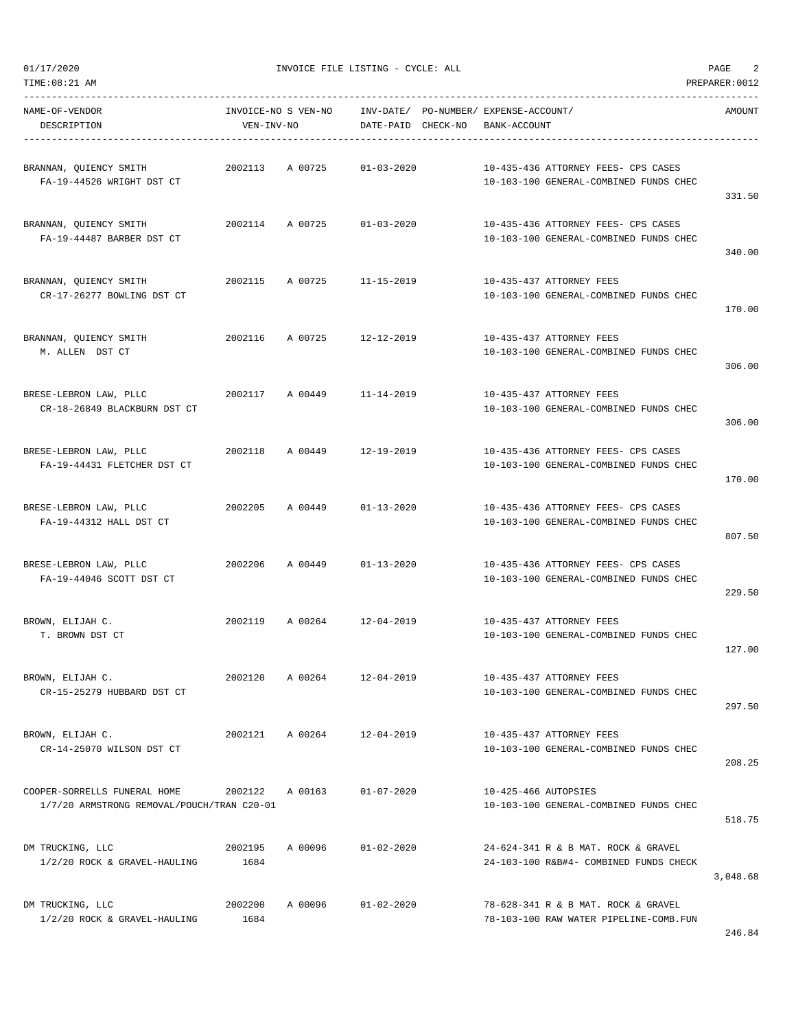DESCRIPTION VEN-INV-NO DATE-PAID CHECK-NO BANK-ACCOUNT

----------------------------------------------------------------------------------------------------------------------------------- NAME-OF-VENDOR INVOICE-NO S VEN-NO INV-DATE/ PO-NUMBER/ EXPENSE-ACCOUNT/ AMOUNT

| BRANNAN, QUIENCY SMITH<br>FA-19-44526 WRIGHT DST CT                        | 2002113         | A 00725         | $01 - 03 - 2020$           | 10-435-436 ATTORNEY FEES- CPS CASES<br>10-103-100 GENERAL-COMBINED FUNDS CHEC |                  |
|----------------------------------------------------------------------------|-----------------|-----------------|----------------------------|-------------------------------------------------------------------------------|------------------|
| BRANNAN, QUIENCY SMITH<br>FA-19-44487 BARBER DST CT                        |                 | 2002114 A 00725 | 01-03-2020                 | 10-435-436 ATTORNEY FEES- CPS CASES<br>10-103-100 GENERAL-COMBINED FUNDS CHEC | 331.50           |
| BRANNAN, QUIENCY SMITH<br>CR-17-26277 BOWLING DST CT                       |                 |                 | 2002115 A 00725 11-15-2019 | 10-435-437 ATTORNEY FEES<br>10-103-100 GENERAL-COMBINED FUNDS CHEC            | 340.00<br>170.00 |
| BRANNAN, QUIENCY SMITH<br>M. ALLEN DST CT                                  | 2002116         |                 | A 00725 12-12-2019         | 10-435-437 ATTORNEY FEES<br>10-103-100 GENERAL-COMBINED FUNDS CHEC            | 306.00           |
| BRESE-LEBRON LAW, PLLC<br>CR-18-26849 BLACKBURN DST CT                     |                 |                 | 2002117 A 00449 11-14-2019 | 10-435-437 ATTORNEY FEES<br>10-103-100 GENERAL-COMBINED FUNDS CHEC            | 306.00           |
| BRESE-LEBRON LAW, PLLC<br>FA-19-44431 FLETCHER DST CT                      |                 |                 | 2002118 A 00449 12-19-2019 | 10-435-436 ATTORNEY FEES- CPS CASES<br>10-103-100 GENERAL-COMBINED FUNDS CHEC | 170.00           |
| BRESE-LEBRON LAW, PLLC<br>FA-19-44312 HALL DST CT                          | 2002205         |                 | A 00449 01-13-2020         | 10-435-436 ATTORNEY FEES- CPS CASES<br>10-103-100 GENERAL-COMBINED FUNDS CHEC | 807.50           |
| BRESE-LEBRON LAW, PLLC<br>FA-19-44046 SCOTT DST CT                         | 2002206         |                 | A 00449 01-13-2020         | 10-435-436 ATTORNEY FEES- CPS CASES<br>10-103-100 GENERAL-COMBINED FUNDS CHEC | 229.50           |
| BROWN, ELIJAH C.<br>T. BROWN DST CT                                        |                 | 2002119 A 00264 | 12-04-2019                 | 10-435-437 ATTORNEY FEES<br>10-103-100 GENERAL-COMBINED FUNDS CHEC            | 127.00           |
| BROWN, ELIJAH C.<br>CR-15-25279 HUBBARD DST CT                             | 2002120         |                 | A 00264 12-04-2019         | 10-435-437 ATTORNEY FEES<br>10-103-100 GENERAL-COMBINED FUNDS CHEC            | 297.50           |
| BROWN, ELIJAH C.<br>CR-14-25070 WILSON DST CT                              | 2002121         | A 00264         | 12-04-2019                 | 10-435-437 ATTORNEY FEES<br>10-103-100 GENERAL-COMBINED FUNDS CHEC            | 208.25           |
| COOPER-SORRELLS FUNERAL HOME<br>1/7/20 ARMSTRONG REMOVAL/POUCH/TRAN C20-01 | 2002122         | A 00163         | $01 - 07 - 2020$           | 10-425-466 AUTOPSIES<br>10-103-100 GENERAL-COMBINED FUNDS CHEC                | 518.75           |
| DM TRUCKING, LLC<br>1/2/20 ROCK & GRAVEL-HAULING                           | 2002195<br>1684 | A 00096         | $01 - 02 - 2020$           | 24-624-341 R & B MAT. ROCK & GRAVEL<br>24-103-100 R&B#4- COMBINED FUNDS CHECK | 3,048.68         |
| DM TRUCKING, LLC<br>1/2/20 ROCK & GRAVEL-HAULING                           | 2002200<br>1684 | A 00096         | $01 - 02 - 2020$           | 78-628-341 R & B MAT. ROCK & GRAVEL<br>78-103-100 RAW WATER PIPELINE-COMB.FUN |                  |

TIME:08:21 AM PREPARER:0012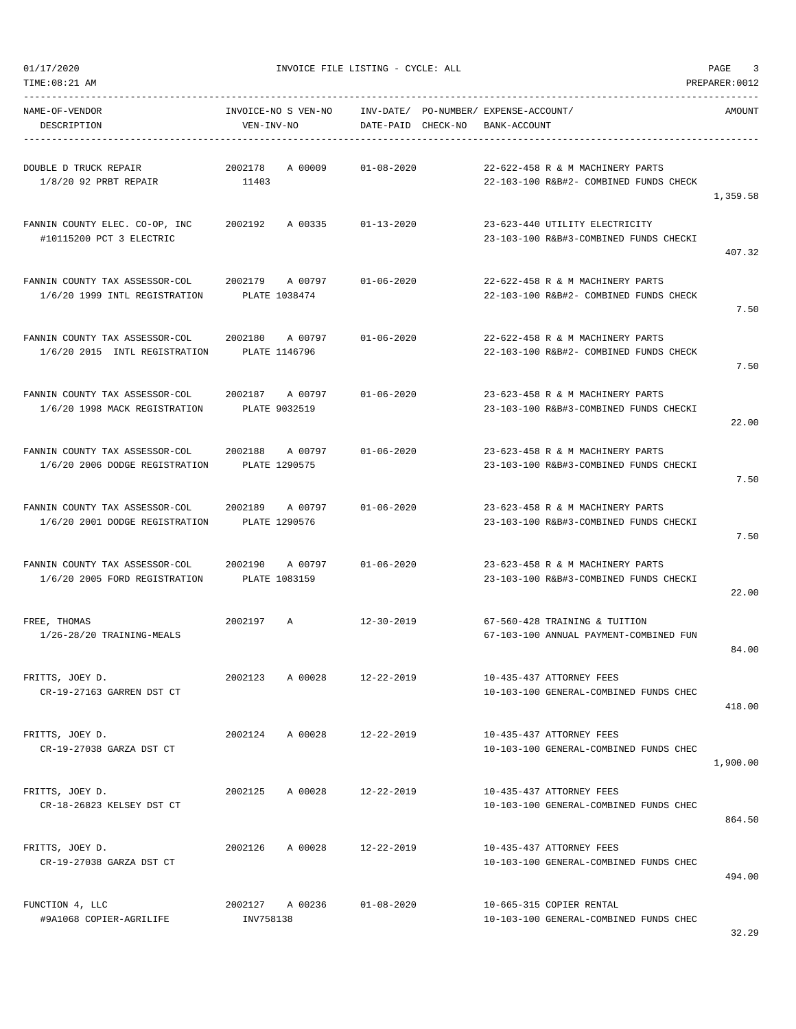TIME:08:21 AM PREPARER:0012

01/17/2020 INVOICE FILE LISTING - CYCLE: ALL PAGE 3

| NAME-OF-VENDOR<br>DESCRIPTION                                    | INVOICE-NO S VEN-NO INV-DATE/ PO-NUMBER/ EXPENSE-ACCOUNT/<br>VEN-INV-NO | DATE-PAID CHECK-NO | BANK-ACCOUNT                                                               | AMOUNT   |
|------------------------------------------------------------------|-------------------------------------------------------------------------|--------------------|----------------------------------------------------------------------------|----------|
| DOUBLE D TRUCK REPAIR<br>1/8/20 92 PRBT REPAIR                   | A 00009<br>2002178<br>11403                                             | $01 - 08 - 2020$   | 22-622-458 R & M MACHINERY PARTS<br>22-103-100 R&B#2- COMBINED FUNDS CHECK | 1,359.58 |
| FANNIN COUNTY ELEC. CO-OP, INC<br>#10115200 PCT 3 ELECTRIC       | 2002192 A 00335 01-13-2020                                              |                    | 23-623-440 UTILITY ELECTRICITY<br>23-103-100 R&B#3-COMBINED FUNDS CHECKI   | 407.32   |
| FANNIN COUNTY TAX ASSESSOR-COL<br>1/6/20 1999 INTL REGISTRATION  | 2002179 A 00797<br>PLATE 1038474                                        | 01-06-2020         | 22-622-458 R & M MACHINERY PARTS<br>22-103-100 R&B#2- COMBINED FUNDS CHECK | 7.50     |
| FANNIN COUNTY TAX ASSESSOR-COL<br>1/6/20 2015 INTL REGISTRATION  | 2002180 A 00797<br>PLATE 1146796                                        | 01-06-2020         | 22-622-458 R & M MACHINERY PARTS<br>22-103-100 R&B#2- COMBINED FUNDS CHECK | 7.50     |
| FANNIN COUNTY TAX ASSESSOR-COL<br>1/6/20 1998 MACK REGISTRATION  | 2002187 A 00797<br>PLATE 9032519                                        | 01-06-2020         | 23-623-458 R & M MACHINERY PARTS<br>23-103-100 R&B#3-COMBINED FUNDS CHECKI | 22.00    |
| FANNIN COUNTY TAX ASSESSOR-COL<br>1/6/20 2006 DODGE REGISTRATION | 2002188 A 00797<br>PLATE 1290575                                        | 01-06-2020         | 23-623-458 R & M MACHINERY PARTS<br>23-103-100 R&B#3-COMBINED FUNDS CHECKI | 7.50     |
| FANNIN COUNTY TAX ASSESSOR-COL<br>1/6/20 2001 DODGE REGISTRATION | 2002189 A00797<br>PLATE 1290576                                         | $01 - 06 - 2020$   | 23-623-458 R & M MACHINERY PARTS<br>23-103-100 R&B#3-COMBINED FUNDS CHECKI | 7.50     |
| FANNIN COUNTY TAX ASSESSOR-COL<br>1/6/20 2005 FORD REGISTRATION  | 2002190 A00797<br>PLATE 1083159                                         | $01 - 06 - 2020$   | 23-623-458 R & M MACHINERY PARTS<br>23-103-100 R&B#3-COMBINED FUNDS CHECKI | 22.00    |
| FREE, THOMAS<br>1/26-28/20 TRAINING-MEALS                        | 2002197 A                                                               | 12-30-2019         | 67-560-428 TRAINING & TUITION<br>67-103-100 ANNUAL PAYMENT-COMBINED FUN    | 84.00    |
| FRITTS, JOEY D.<br>CR-19-27163 GARREN DST CT                     | 2002123<br>A 00028                                                      | 12-22-2019         | 10-435-437 ATTORNEY FEES<br>10-103-100 GENERAL-COMBINED FUNDS CHEC         | 418.00   |
| FRITTS, JOEY D.<br>CR-19-27038 GARZA DST CT                      | A 00028 12-22-2019<br>2002124                                           |                    | 10-435-437 ATTORNEY FEES<br>10-103-100 GENERAL-COMBINED FUNDS CHEC         | 1,900.00 |
| FRITTS, JOEY D.<br>CR-18-26823 KELSEY DST CT                     | 2002125<br>A 00028                                                      | 12-22-2019         | 10-435-437 ATTORNEY FEES<br>10-103-100 GENERAL-COMBINED FUNDS CHEC         | 864.50   |
| FRITTS, JOEY D.<br>CR-19-27038 GARZA DST CT                      | 2002126<br>A 00028                                                      | 12-22-2019         | 10-435-437 ATTORNEY FEES<br>10-103-100 GENERAL-COMBINED FUNDS CHEC         | 494.00   |
| FUNCTION 4, LLC<br>#9A1068 COPIER-AGRILIFE                       | 2002127 A 00236<br>INV758138                                            | $01 - 08 - 2020$   | 10-665-315 COPIER RENTAL<br>10-103-100 GENERAL-COMBINED FUNDS CHEC         |          |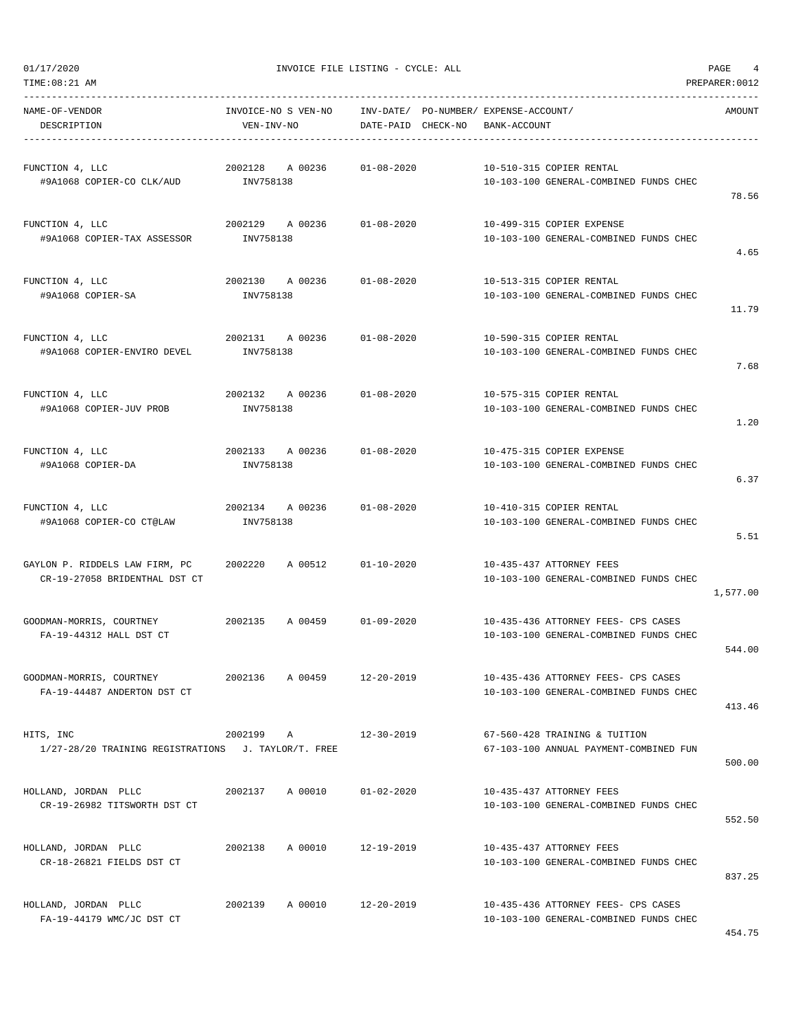| TIME: 08:21 AM<br>PREPARER: 0012<br>NAME-OF-VENDOR<br>INVOICE-NO S VEN-NO INV-DATE/ PO-NUMBER/ EXPENSE-ACCOUNT/<br>AMOUNT<br>DESCRIPTION<br>VEN-INV-NO<br>DATE-PAID CHECK-NO<br>BANK-ACCOUNT<br>2002128 A 00236<br>FUNCTION 4, LLC<br>01-08-2020<br>10-510-315 COPIER RENTAL<br>INV758138<br>#9A1068 COPIER-CO CLK/AUD<br>10-103-100 GENERAL-COMBINED FUNDS CHEC<br>78.56<br>2002129 A 00236<br>$01 - 08 - 2020$<br>10-499-315 COPIER EXPENSE<br>FUNCTION 4, LLC<br>#9A1068 COPIER-TAX ASSESSOR<br>INV758138<br>10-103-100 GENERAL-COMBINED FUNDS CHEC<br>4.65<br>$01 - 08 - 2020$<br>FUNCTION 4, LLC<br>2002130 A 00236<br>10-513-315 COPIER RENTAL<br>#9A1068 COPIER-SA<br>INV758138<br>10-103-100 GENERAL-COMBINED FUNDS CHEC<br>11.79<br>2002131 A 00236<br>10-590-315 COPIER RENTAL<br>FUNCTION 4, LLC<br>$01 - 08 - 2020$<br>10-103-100 GENERAL-COMBINED FUNDS CHEC<br>#9A1068 COPIER-ENVIRO DEVEL<br>INV758138<br>7.68<br>2002132 A 00236<br>$01 - 08 - 2020$<br>FUNCTION 4, LLC<br>10-575-315 COPIER RENTAL<br>#9A1068 COPIER-JUV PROB<br>INV758138<br>10-103-100 GENERAL-COMBINED FUNDS CHEC<br>1.20<br>2002133 A 00236<br>$01 - 08 - 2020$<br>FUNCTION 4, LLC<br>10-475-315 COPIER EXPENSE<br>#9A1068 COPIER-DA<br>INV758138<br>10-103-100 GENERAL-COMBINED FUNDS CHEC<br>6.37<br>2002134 A 00236<br>$01 - 08 - 2020$<br>10-410-315 COPIER RENTAL<br>FUNCTION 4, LLC<br>#9A1068 COPIER-CO CT@LAW<br>INV758138<br>10-103-100 GENERAL-COMBINED FUNDS CHEC<br>5.51<br>GAYLON P. RIDDELS LAW FIRM, PC<br>2002220<br>A 00512<br>$01 - 10 - 2020$<br>10-435-437 ATTORNEY FEES<br>CR-19-27058 BRIDENTHAL DST CT<br>10-103-100 GENERAL-COMBINED FUNDS CHEC<br>1,577.00<br>GOODMAN-MORRIS, COURTNEY<br>2002135<br>A 00459<br>01-09-2020<br>10-435-436 ATTORNEY FEES- CPS CASES<br>FA-19-44312 HALL DST CT<br>10-103-100 GENERAL-COMBINED FUNDS CHEC<br>544.00<br>GOODMAN-MORRIS, COURTNEY 2002136<br>A 00459 12-20-2019<br>10-435-436 ATTORNEY FEES- CPS CASES<br>FA-19-44487 ANDERTON DST CT<br>10-103-100 GENERAL-COMBINED FUNDS CHEC<br>413.46<br>HITS, INC<br>2002199 A<br>67-560-428 TRAINING & TUITION<br>12-30-2019<br>67-103-100 ANNUAL PAYMENT-COMBINED FUN<br>1/27-28/20 TRAINING REGISTRATIONS J. TAYLOR/T. FREE<br>500.00<br>HOLLAND, JORDAN PLLC<br>2002137 A 00010<br>01-02-2020<br>10-435-437 ATTORNEY FEES<br>CR-19-26982 TITSWORTH DST CT<br>10-103-100 GENERAL-COMBINED FUNDS CHEC<br>552.50<br>A 00010<br>12-19-2019<br>HOLLAND, JORDAN PLLC<br>2002138<br>10-435-437 ATTORNEY FEES<br>CR-18-26821 FIELDS DST CT<br>10-103-100 GENERAL-COMBINED FUNDS CHEC<br>837.25<br>HOLLAND, JORDAN PLLC<br>A 00010 12-20-2019<br>10-435-436 ATTORNEY FEES- CPS CASES<br>2002139<br>FA-19-44179 WMC/JC DST CT<br>10-103-100 GENERAL-COMBINED FUNDS CHEC | 01/17/2020 | INVOICE FILE LISTING - CYCLE: ALL | PAGE<br>4 |
|-----------------------------------------------------------------------------------------------------------------------------------------------------------------------------------------------------------------------------------------------------------------------------------------------------------------------------------------------------------------------------------------------------------------------------------------------------------------------------------------------------------------------------------------------------------------------------------------------------------------------------------------------------------------------------------------------------------------------------------------------------------------------------------------------------------------------------------------------------------------------------------------------------------------------------------------------------------------------------------------------------------------------------------------------------------------------------------------------------------------------------------------------------------------------------------------------------------------------------------------------------------------------------------------------------------------------------------------------------------------------------------------------------------------------------------------------------------------------------------------------------------------------------------------------------------------------------------------------------------------------------------------------------------------------------------------------------------------------------------------------------------------------------------------------------------------------------------------------------------------------------------------------------------------------------------------------------------------------------------------------------------------------------------------------------------------------------------------------------------------------------------------------------------------------------------------------------------------------------------------------------------------------------------------------------------------------------------------------------------------------------------------------------------------------------------------------------------------------------------------------------------------------------------------------------------------------------------------------------------------------------------------------------------------------------------------------------------------------------------------------------------------|------------|-----------------------------------|-----------|
|                                                                                                                                                                                                                                                                                                                                                                                                                                                                                                                                                                                                                                                                                                                                                                                                                                                                                                                                                                                                                                                                                                                                                                                                                                                                                                                                                                                                                                                                                                                                                                                                                                                                                                                                                                                                                                                                                                                                                                                                                                                                                                                                                                                                                                                                                                                                                                                                                                                                                                                                                                                                                                                                                                                                                                 |            |                                   |           |
|                                                                                                                                                                                                                                                                                                                                                                                                                                                                                                                                                                                                                                                                                                                                                                                                                                                                                                                                                                                                                                                                                                                                                                                                                                                                                                                                                                                                                                                                                                                                                                                                                                                                                                                                                                                                                                                                                                                                                                                                                                                                                                                                                                                                                                                                                                                                                                                                                                                                                                                                                                                                                                                                                                                                                                 |            |                                   |           |
|                                                                                                                                                                                                                                                                                                                                                                                                                                                                                                                                                                                                                                                                                                                                                                                                                                                                                                                                                                                                                                                                                                                                                                                                                                                                                                                                                                                                                                                                                                                                                                                                                                                                                                                                                                                                                                                                                                                                                                                                                                                                                                                                                                                                                                                                                                                                                                                                                                                                                                                                                                                                                                                                                                                                                                 |            |                                   |           |
|                                                                                                                                                                                                                                                                                                                                                                                                                                                                                                                                                                                                                                                                                                                                                                                                                                                                                                                                                                                                                                                                                                                                                                                                                                                                                                                                                                                                                                                                                                                                                                                                                                                                                                                                                                                                                                                                                                                                                                                                                                                                                                                                                                                                                                                                                                                                                                                                                                                                                                                                                                                                                                                                                                                                                                 |            |                                   |           |
|                                                                                                                                                                                                                                                                                                                                                                                                                                                                                                                                                                                                                                                                                                                                                                                                                                                                                                                                                                                                                                                                                                                                                                                                                                                                                                                                                                                                                                                                                                                                                                                                                                                                                                                                                                                                                                                                                                                                                                                                                                                                                                                                                                                                                                                                                                                                                                                                                                                                                                                                                                                                                                                                                                                                                                 |            |                                   |           |
|                                                                                                                                                                                                                                                                                                                                                                                                                                                                                                                                                                                                                                                                                                                                                                                                                                                                                                                                                                                                                                                                                                                                                                                                                                                                                                                                                                                                                                                                                                                                                                                                                                                                                                                                                                                                                                                                                                                                                                                                                                                                                                                                                                                                                                                                                                                                                                                                                                                                                                                                                                                                                                                                                                                                                                 |            |                                   |           |
|                                                                                                                                                                                                                                                                                                                                                                                                                                                                                                                                                                                                                                                                                                                                                                                                                                                                                                                                                                                                                                                                                                                                                                                                                                                                                                                                                                                                                                                                                                                                                                                                                                                                                                                                                                                                                                                                                                                                                                                                                                                                                                                                                                                                                                                                                                                                                                                                                                                                                                                                                                                                                                                                                                                                                                 |            |                                   |           |
|                                                                                                                                                                                                                                                                                                                                                                                                                                                                                                                                                                                                                                                                                                                                                                                                                                                                                                                                                                                                                                                                                                                                                                                                                                                                                                                                                                                                                                                                                                                                                                                                                                                                                                                                                                                                                                                                                                                                                                                                                                                                                                                                                                                                                                                                                                                                                                                                                                                                                                                                                                                                                                                                                                                                                                 |            |                                   |           |
|                                                                                                                                                                                                                                                                                                                                                                                                                                                                                                                                                                                                                                                                                                                                                                                                                                                                                                                                                                                                                                                                                                                                                                                                                                                                                                                                                                                                                                                                                                                                                                                                                                                                                                                                                                                                                                                                                                                                                                                                                                                                                                                                                                                                                                                                                                                                                                                                                                                                                                                                                                                                                                                                                                                                                                 |            |                                   |           |
|                                                                                                                                                                                                                                                                                                                                                                                                                                                                                                                                                                                                                                                                                                                                                                                                                                                                                                                                                                                                                                                                                                                                                                                                                                                                                                                                                                                                                                                                                                                                                                                                                                                                                                                                                                                                                                                                                                                                                                                                                                                                                                                                                                                                                                                                                                                                                                                                                                                                                                                                                                                                                                                                                                                                                                 |            |                                   |           |
|                                                                                                                                                                                                                                                                                                                                                                                                                                                                                                                                                                                                                                                                                                                                                                                                                                                                                                                                                                                                                                                                                                                                                                                                                                                                                                                                                                                                                                                                                                                                                                                                                                                                                                                                                                                                                                                                                                                                                                                                                                                                                                                                                                                                                                                                                                                                                                                                                                                                                                                                                                                                                                                                                                                                                                 |            |                                   |           |
|                                                                                                                                                                                                                                                                                                                                                                                                                                                                                                                                                                                                                                                                                                                                                                                                                                                                                                                                                                                                                                                                                                                                                                                                                                                                                                                                                                                                                                                                                                                                                                                                                                                                                                                                                                                                                                                                                                                                                                                                                                                                                                                                                                                                                                                                                                                                                                                                                                                                                                                                                                                                                                                                                                                                                                 |            |                                   |           |
|                                                                                                                                                                                                                                                                                                                                                                                                                                                                                                                                                                                                                                                                                                                                                                                                                                                                                                                                                                                                                                                                                                                                                                                                                                                                                                                                                                                                                                                                                                                                                                                                                                                                                                                                                                                                                                                                                                                                                                                                                                                                                                                                                                                                                                                                                                                                                                                                                                                                                                                                                                                                                                                                                                                                                                 |            |                                   |           |
|                                                                                                                                                                                                                                                                                                                                                                                                                                                                                                                                                                                                                                                                                                                                                                                                                                                                                                                                                                                                                                                                                                                                                                                                                                                                                                                                                                                                                                                                                                                                                                                                                                                                                                                                                                                                                                                                                                                                                                                                                                                                                                                                                                                                                                                                                                                                                                                                                                                                                                                                                                                                                                                                                                                                                                 |            |                                   |           |
|                                                                                                                                                                                                                                                                                                                                                                                                                                                                                                                                                                                                                                                                                                                                                                                                                                                                                                                                                                                                                                                                                                                                                                                                                                                                                                                                                                                                                                                                                                                                                                                                                                                                                                                                                                                                                                                                                                                                                                                                                                                                                                                                                                                                                                                                                                                                                                                                                                                                                                                                                                                                                                                                                                                                                                 |            |                                   |           |
|                                                                                                                                                                                                                                                                                                                                                                                                                                                                                                                                                                                                                                                                                                                                                                                                                                                                                                                                                                                                                                                                                                                                                                                                                                                                                                                                                                                                                                                                                                                                                                                                                                                                                                                                                                                                                                                                                                                                                                                                                                                                                                                                                                                                                                                                                                                                                                                                                                                                                                                                                                                                                                                                                                                                                                 |            |                                   |           |
|                                                                                                                                                                                                                                                                                                                                                                                                                                                                                                                                                                                                                                                                                                                                                                                                                                                                                                                                                                                                                                                                                                                                                                                                                                                                                                                                                                                                                                                                                                                                                                                                                                                                                                                                                                                                                                                                                                                                                                                                                                                                                                                                                                                                                                                                                                                                                                                                                                                                                                                                                                                                                                                                                                                                                                 |            |                                   |           |
|                                                                                                                                                                                                                                                                                                                                                                                                                                                                                                                                                                                                                                                                                                                                                                                                                                                                                                                                                                                                                                                                                                                                                                                                                                                                                                                                                                                                                                                                                                                                                                                                                                                                                                                                                                                                                                                                                                                                                                                                                                                                                                                                                                                                                                                                                                                                                                                                                                                                                                                                                                                                                                                                                                                                                                 |            |                                   |           |
|                                                                                                                                                                                                                                                                                                                                                                                                                                                                                                                                                                                                                                                                                                                                                                                                                                                                                                                                                                                                                                                                                                                                                                                                                                                                                                                                                                                                                                                                                                                                                                                                                                                                                                                                                                                                                                                                                                                                                                                                                                                                                                                                                                                                                                                                                                                                                                                                                                                                                                                                                                                                                                                                                                                                                                 |            |                                   |           |
|                                                                                                                                                                                                                                                                                                                                                                                                                                                                                                                                                                                                                                                                                                                                                                                                                                                                                                                                                                                                                                                                                                                                                                                                                                                                                                                                                                                                                                                                                                                                                                                                                                                                                                                                                                                                                                                                                                                                                                                                                                                                                                                                                                                                                                                                                                                                                                                                                                                                                                                                                                                                                                                                                                                                                                 |            |                                   |           |
|                                                                                                                                                                                                                                                                                                                                                                                                                                                                                                                                                                                                                                                                                                                                                                                                                                                                                                                                                                                                                                                                                                                                                                                                                                                                                                                                                                                                                                                                                                                                                                                                                                                                                                                                                                                                                                                                                                                                                                                                                                                                                                                                                                                                                                                                                                                                                                                                                                                                                                                                                                                                                                                                                                                                                                 |            |                                   |           |
|                                                                                                                                                                                                                                                                                                                                                                                                                                                                                                                                                                                                                                                                                                                                                                                                                                                                                                                                                                                                                                                                                                                                                                                                                                                                                                                                                                                                                                                                                                                                                                                                                                                                                                                                                                                                                                                                                                                                                                                                                                                                                                                                                                                                                                                                                                                                                                                                                                                                                                                                                                                                                                                                                                                                                                 |            |                                   |           |
|                                                                                                                                                                                                                                                                                                                                                                                                                                                                                                                                                                                                                                                                                                                                                                                                                                                                                                                                                                                                                                                                                                                                                                                                                                                                                                                                                                                                                                                                                                                                                                                                                                                                                                                                                                                                                                                                                                                                                                                                                                                                                                                                                                                                                                                                                                                                                                                                                                                                                                                                                                                                                                                                                                                                                                 |            |                                   |           |
|                                                                                                                                                                                                                                                                                                                                                                                                                                                                                                                                                                                                                                                                                                                                                                                                                                                                                                                                                                                                                                                                                                                                                                                                                                                                                                                                                                                                                                                                                                                                                                                                                                                                                                                                                                                                                                                                                                                                                                                                                                                                                                                                                                                                                                                                                                                                                                                                                                                                                                                                                                                                                                                                                                                                                                 |            |                                   |           |
|                                                                                                                                                                                                                                                                                                                                                                                                                                                                                                                                                                                                                                                                                                                                                                                                                                                                                                                                                                                                                                                                                                                                                                                                                                                                                                                                                                                                                                                                                                                                                                                                                                                                                                                                                                                                                                                                                                                                                                                                                                                                                                                                                                                                                                                                                                                                                                                                                                                                                                                                                                                                                                                                                                                                                                 |            |                                   |           |
|                                                                                                                                                                                                                                                                                                                                                                                                                                                                                                                                                                                                                                                                                                                                                                                                                                                                                                                                                                                                                                                                                                                                                                                                                                                                                                                                                                                                                                                                                                                                                                                                                                                                                                                                                                                                                                                                                                                                                                                                                                                                                                                                                                                                                                                                                                                                                                                                                                                                                                                                                                                                                                                                                                                                                                 |            |                                   |           |
|                                                                                                                                                                                                                                                                                                                                                                                                                                                                                                                                                                                                                                                                                                                                                                                                                                                                                                                                                                                                                                                                                                                                                                                                                                                                                                                                                                                                                                                                                                                                                                                                                                                                                                                                                                                                                                                                                                                                                                                                                                                                                                                                                                                                                                                                                                                                                                                                                                                                                                                                                                                                                                                                                                                                                                 |            |                                   |           |
|                                                                                                                                                                                                                                                                                                                                                                                                                                                                                                                                                                                                                                                                                                                                                                                                                                                                                                                                                                                                                                                                                                                                                                                                                                                                                                                                                                                                                                                                                                                                                                                                                                                                                                                                                                                                                                                                                                                                                                                                                                                                                                                                                                                                                                                                                                                                                                                                                                                                                                                                                                                                                                                                                                                                                                 |            |                                   |           |
|                                                                                                                                                                                                                                                                                                                                                                                                                                                                                                                                                                                                                                                                                                                                                                                                                                                                                                                                                                                                                                                                                                                                                                                                                                                                                                                                                                                                                                                                                                                                                                                                                                                                                                                                                                                                                                                                                                                                                                                                                                                                                                                                                                                                                                                                                                                                                                                                                                                                                                                                                                                                                                                                                                                                                                 |            |                                   |           |
|                                                                                                                                                                                                                                                                                                                                                                                                                                                                                                                                                                                                                                                                                                                                                                                                                                                                                                                                                                                                                                                                                                                                                                                                                                                                                                                                                                                                                                                                                                                                                                                                                                                                                                                                                                                                                                                                                                                                                                                                                                                                                                                                                                                                                                                                                                                                                                                                                                                                                                                                                                                                                                                                                                                                                                 |            |                                   |           |
|                                                                                                                                                                                                                                                                                                                                                                                                                                                                                                                                                                                                                                                                                                                                                                                                                                                                                                                                                                                                                                                                                                                                                                                                                                                                                                                                                                                                                                                                                                                                                                                                                                                                                                                                                                                                                                                                                                                                                                                                                                                                                                                                                                                                                                                                                                                                                                                                                                                                                                                                                                                                                                                                                                                                                                 |            |                                   |           |
|                                                                                                                                                                                                                                                                                                                                                                                                                                                                                                                                                                                                                                                                                                                                                                                                                                                                                                                                                                                                                                                                                                                                                                                                                                                                                                                                                                                                                                                                                                                                                                                                                                                                                                                                                                                                                                                                                                                                                                                                                                                                                                                                                                                                                                                                                                                                                                                                                                                                                                                                                                                                                                                                                                                                                                 |            |                                   |           |
|                                                                                                                                                                                                                                                                                                                                                                                                                                                                                                                                                                                                                                                                                                                                                                                                                                                                                                                                                                                                                                                                                                                                                                                                                                                                                                                                                                                                                                                                                                                                                                                                                                                                                                                                                                                                                                                                                                                                                                                                                                                                                                                                                                                                                                                                                                                                                                                                                                                                                                                                                                                                                                                                                                                                                                 |            |                                   |           |
|                                                                                                                                                                                                                                                                                                                                                                                                                                                                                                                                                                                                                                                                                                                                                                                                                                                                                                                                                                                                                                                                                                                                                                                                                                                                                                                                                                                                                                                                                                                                                                                                                                                                                                                                                                                                                                                                                                                                                                                                                                                                                                                                                                                                                                                                                                                                                                                                                                                                                                                                                                                                                                                                                                                                                                 |            |                                   |           |
|                                                                                                                                                                                                                                                                                                                                                                                                                                                                                                                                                                                                                                                                                                                                                                                                                                                                                                                                                                                                                                                                                                                                                                                                                                                                                                                                                                                                                                                                                                                                                                                                                                                                                                                                                                                                                                                                                                                                                                                                                                                                                                                                                                                                                                                                                                                                                                                                                                                                                                                                                                                                                                                                                                                                                                 |            |                                   |           |
|                                                                                                                                                                                                                                                                                                                                                                                                                                                                                                                                                                                                                                                                                                                                                                                                                                                                                                                                                                                                                                                                                                                                                                                                                                                                                                                                                                                                                                                                                                                                                                                                                                                                                                                                                                                                                                                                                                                                                                                                                                                                                                                                                                                                                                                                                                                                                                                                                                                                                                                                                                                                                                                                                                                                                                 |            |                                   |           |
|                                                                                                                                                                                                                                                                                                                                                                                                                                                                                                                                                                                                                                                                                                                                                                                                                                                                                                                                                                                                                                                                                                                                                                                                                                                                                                                                                                                                                                                                                                                                                                                                                                                                                                                                                                                                                                                                                                                                                                                                                                                                                                                                                                                                                                                                                                                                                                                                                                                                                                                                                                                                                                                                                                                                                                 |            |                                   |           |
|                                                                                                                                                                                                                                                                                                                                                                                                                                                                                                                                                                                                                                                                                                                                                                                                                                                                                                                                                                                                                                                                                                                                                                                                                                                                                                                                                                                                                                                                                                                                                                                                                                                                                                                                                                                                                                                                                                                                                                                                                                                                                                                                                                                                                                                                                                                                                                                                                                                                                                                                                                                                                                                                                                                                                                 |            |                                   |           |
|                                                                                                                                                                                                                                                                                                                                                                                                                                                                                                                                                                                                                                                                                                                                                                                                                                                                                                                                                                                                                                                                                                                                                                                                                                                                                                                                                                                                                                                                                                                                                                                                                                                                                                                                                                                                                                                                                                                                                                                                                                                                                                                                                                                                                                                                                                                                                                                                                                                                                                                                                                                                                                                                                                                                                                 |            |                                   |           |
|                                                                                                                                                                                                                                                                                                                                                                                                                                                                                                                                                                                                                                                                                                                                                                                                                                                                                                                                                                                                                                                                                                                                                                                                                                                                                                                                                                                                                                                                                                                                                                                                                                                                                                                                                                                                                                                                                                                                                                                                                                                                                                                                                                                                                                                                                                                                                                                                                                                                                                                                                                                                                                                                                                                                                                 |            |                                   |           |
|                                                                                                                                                                                                                                                                                                                                                                                                                                                                                                                                                                                                                                                                                                                                                                                                                                                                                                                                                                                                                                                                                                                                                                                                                                                                                                                                                                                                                                                                                                                                                                                                                                                                                                                                                                                                                                                                                                                                                                                                                                                                                                                                                                                                                                                                                                                                                                                                                                                                                                                                                                                                                                                                                                                                                                 |            |                                   |           |
|                                                                                                                                                                                                                                                                                                                                                                                                                                                                                                                                                                                                                                                                                                                                                                                                                                                                                                                                                                                                                                                                                                                                                                                                                                                                                                                                                                                                                                                                                                                                                                                                                                                                                                                                                                                                                                                                                                                                                                                                                                                                                                                                                                                                                                                                                                                                                                                                                                                                                                                                                                                                                                                                                                                                                                 |            |                                   |           |
|                                                                                                                                                                                                                                                                                                                                                                                                                                                                                                                                                                                                                                                                                                                                                                                                                                                                                                                                                                                                                                                                                                                                                                                                                                                                                                                                                                                                                                                                                                                                                                                                                                                                                                                                                                                                                                                                                                                                                                                                                                                                                                                                                                                                                                                                                                                                                                                                                                                                                                                                                                                                                                                                                                                                                                 |            |                                   |           |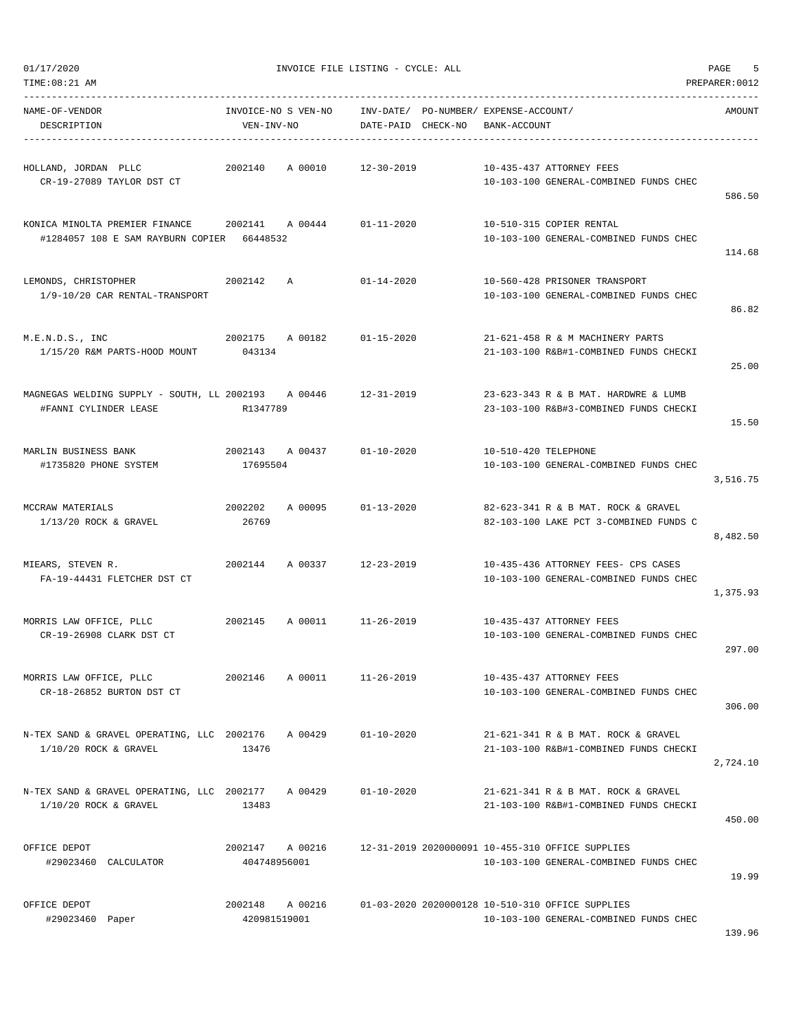| TIME: 08:21 AM                                                                                              |                                   |                    |                    |                                                                                            | PREPARER: 0012 |
|-------------------------------------------------------------------------------------------------------------|-----------------------------------|--------------------|--------------------|--------------------------------------------------------------------------------------------|----------------|
| NAME-OF-VENDOR<br>DESCRIPTION                                                                               | INVOICE-NO S VEN-NO<br>VEN-INV-NO |                    | DATE-PAID CHECK-NO | INV-DATE/ PO-NUMBER/ EXPENSE-ACCOUNT/<br>BANK-ACCOUNT                                      | AMOUNT         |
| HOLLAND, JORDAN PLLC<br>CR-19-27089 TAYLOR DST CT                                                           | 2002140                           | A 00010            | 12-30-2019         | 10-435-437 ATTORNEY FEES<br>10-103-100 GENERAL-COMBINED FUNDS CHEC                         | 586.50         |
| KONICA MINOLTA PREMIER FINANCE $2002141$ A 00444 $01-11-2020$<br>#1284057 108 E SAM RAYBURN COPIER 66448532 |                                   |                    |                    | 10-510-315 COPIER RENTAL<br>10-103-100 GENERAL-COMBINED FUNDS CHEC                         | 114.68         |
| LEMONDS, CHRISTOPHER<br>1/9-10/20 CAR RENTAL-TRANSPORT                                                      | 2002142<br>Α                      |                    | $01 - 14 - 2020$   | 10-560-428 PRISONER TRANSPORT<br>10-103-100 GENERAL-COMBINED FUNDS CHEC                    | 86.82          |
| M.E.N.D.S., INC<br>1/15/20 R&M PARTS-HOOD MOUNT                                                             | 2002175 A 00182<br>043134         |                    | $01 - 15 - 2020$   | 21-621-458 R & M MACHINERY PARTS<br>21-103-100 R&B#1-COMBINED FUNDS CHECKI                 | 25.00          |
| MAGNEGAS WELDING SUPPLY - SOUTH, LL 2002193 A 00446<br>#FANNI CYLINDER LEASE                                | R1347789                          |                    | 12-31-2019         | 23-623-343 R & B MAT. HARDWRE & LUMB<br>23-103-100 R&B#3-COMBINED FUNDS CHECKI             | 15.50          |
| MARLIN BUSINESS BANK<br>#1735820 PHONE SYSTEM                                                               | 2002143 A 00437<br>17695504       |                    | 01-10-2020         | 10-510-420 TELEPHONE<br>10-103-100 GENERAL-COMBINED FUNDS CHEC                             | 3,516.75       |
| MCCRAW MATERIALS<br>$1/13/20$ ROCK & GRAVEL                                                                 | 2002202<br>26769                  | A 00095            | 01-13-2020         | 82-623-341 R & B MAT. ROCK & GRAVEL<br>82-103-100 LAKE PCT 3-COMBINED FUNDS C              | 8,482.50       |
| MIEARS, STEVEN R.<br>FA-19-44431 FLETCHER DST CT                                                            | 2002144                           | A 00337            | 12-23-2019         | 10-435-436 ATTORNEY FEES- CPS CASES<br>10-103-100 GENERAL-COMBINED FUNDS CHEC              | 1,375.93       |
| MORRIS LAW OFFICE, PLLC<br>CR-19-26908 CLARK DST CT                                                         | 2002145                           | A 00011 11-26-2019 |                    | 10-435-437 ATTORNEY FEES<br>10-103-100 GENERAL-COMBINED FUNDS CHEC                         | 297.00         |
| MORRIS LAW OFFICE, PLLC<br>CR-18-26852 BURTON DST CT                                                        | 2002146                           | A 00011            | $11 - 26 - 2019$   | 10-435-437 ATTORNEY FEES<br>10-103-100 GENERAL-COMBINED FUNDS CHEC                         | 306.00         |
| N-TEX SAND & GRAVEL OPERATING, LLC 2002176<br>$1/10/20$ ROCK & GRAVEL                                       | 13476                             | A 00429            | $01 - 10 - 2020$   | 21-621-341 R & B MAT. ROCK & GRAVEL<br>21-103-100 R&B#1-COMBINED FUNDS CHECKI              | 2,724.10       |
| N-TEX SAND & GRAVEL OPERATING, LLC 2002177<br>$1/10/20$ ROCK & GRAVEL                                       | 13483                             | A 00429            | $01 - 10 - 2020$   | 21-621-341 R & B MAT. ROCK & GRAVEL<br>21-103-100 R&B#1-COMBINED FUNDS CHECKI              | 450.00         |
| OFFICE DEPOT<br>#29023460 CALCULATOR                                                                        | 2002147<br>404748956001           | A 00216            |                    | 12-31-2019 2020000091 10-455-310 OFFICE SUPPLIES<br>10-103-100 GENERAL-COMBINED FUNDS CHEC | 19.99          |
| OFFICE DEPOT<br>#29023460 Paper                                                                             | 2002148<br>420981519001           | A 00216            |                    | 01-03-2020 2020000128 10-510-310 OFFICE SUPPLIES<br>10-103-100 GENERAL-COMBINED FUNDS CHEC |                |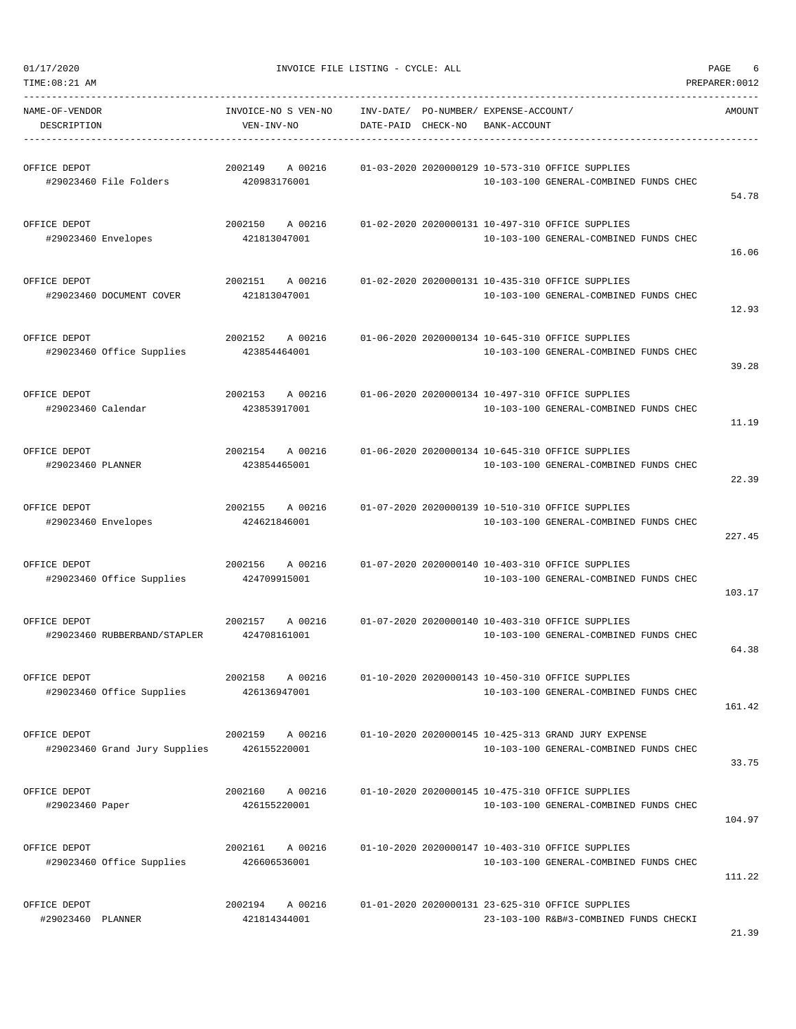| NAME-OF-VENDOR<br>DESCRIPTION       |                               | INVOICE-NO S VEN-NO<br>VEN-INV-NO  | DATE-PAID CHECK-NO | INV-DATE/ PO-NUMBER/ EXPENSE-ACCOUNT/<br>BANK-ACCOUNT                                              | AMOUNT |
|-------------------------------------|-------------------------------|------------------------------------|--------------------|----------------------------------------------------------------------------------------------------|--------|
| OFFICE DEPOT                        | #29023460 File Folders        | 2002149 A 00216<br>420983176001    |                    | 01-03-2020 2020000129 10-573-310 OFFICE SUPPLIES<br>10-103-100 GENERAL-COMBINED FUNDS CHEC         | 54.78  |
| OFFICE DEPOT<br>#29023460 Envelopes |                               | 2002150 A 00216<br>421813047001    |                    | 01-02-2020 2020000131 10-497-310 OFFICE SUPPLIES<br>10-103-100 GENERAL-COMBINED FUNDS CHEC         | 16.06  |
| OFFICE DEPOT                        | #29023460 DOCUMENT COVER      | 2002151<br>A 00216<br>421813047001 |                    | 01-02-2020 2020000131 10-435-310 OFFICE SUPPLIES<br>10-103-100 GENERAL-COMBINED FUNDS CHEC         | 12.93  |
| OFFICE DEPOT                        | #29023460 Office Supplies     | 2002152 A 00216<br>423854464001    |                    | 01-06-2020 2020000134 10-645-310 OFFICE SUPPLIES<br>10-103-100 GENERAL-COMBINED FUNDS CHEC         | 39.28  |
| OFFICE DEPOT<br>#29023460 Calendar  |                               | 2002153 A 00216<br>423853917001    |                    | 01-06-2020 2020000134 10-497-310 OFFICE SUPPLIES<br>10-103-100 GENERAL-COMBINED FUNDS CHEC         | 11.19  |
| OFFICE DEPOT<br>#29023460 PLANNER   |                               | 2002154<br>A 00216<br>423854465001 |                    | 01-06-2020 2020000134 10-645-310 OFFICE SUPPLIES<br>10-103-100 GENERAL-COMBINED FUNDS CHEC         | 22.39  |
| OFFICE DEPOT<br>#29023460 Envelopes |                               | 2002155<br>A 00216<br>424621846001 |                    | 01-07-2020 2020000139 10-510-310 OFFICE SUPPLIES<br>10-103-100 GENERAL-COMBINED FUNDS CHEC         | 227.45 |
| OFFICE DEPOT                        | #29023460 Office Supplies     | 2002156 A 00216<br>424709915001    |                    | 01-07-2020 2020000140 10-403-310 OFFICE SUPPLIES<br>10-103-100 GENERAL-COMBINED FUNDS CHEC         | 103.17 |
| OFFICE DEPOT                        | #29023460 RUBBERBAND/STAPLER  | 2002157<br>424708161001            |                    | A 00216 01-07-2020 2020000140 10-403-310 OFFICE SUPPLIES<br>10-103-100 GENERAL-COMBINED FUNDS CHEC | 64.38  |
| OFFICE DEPOT                        | #29023460 Office Supplies     | 2002158<br>A 00216<br>426136947001 |                    | 01-10-2020 2020000143 10-450-310 OFFICE SUPPLIES<br>10-103-100 GENERAL-COMBINED FUNDS CHEC         | 161.42 |
| OFFICE DEPOT                        | #29023460 Grand Jury Supplies | 2002159 A 00216<br>426155220001    |                    | 01-10-2020 2020000145 10-425-313 GRAND JURY EXPENSE<br>10-103-100 GENERAL-COMBINED FUNDS CHEC      | 33.75  |
| OFFICE DEPOT<br>#29023460 Paper     |                               | 2002160<br>A 00216<br>426155220001 |                    | 01-10-2020 2020000145 10-475-310 OFFICE SUPPLIES<br>10-103-100 GENERAL-COMBINED FUNDS CHEC         | 104.97 |
| OFFICE DEPOT                        | #29023460 Office Supplies     | 2002161<br>A 00216<br>426606536001 |                    | 01-10-2020 2020000147 10-403-310 OFFICE SUPPLIES<br>10-103-100 GENERAL-COMBINED FUNDS CHEC         | 111.22 |
| OFFICE DEPOT<br>#29023460 PLANNER   |                               | 2002194<br>A 00216<br>421814344001 |                    | 01-01-2020 2020000131 23-625-310 OFFICE SUPPLIES<br>23-103-100 R&B#3-COMBINED FUNDS CHECKI         |        |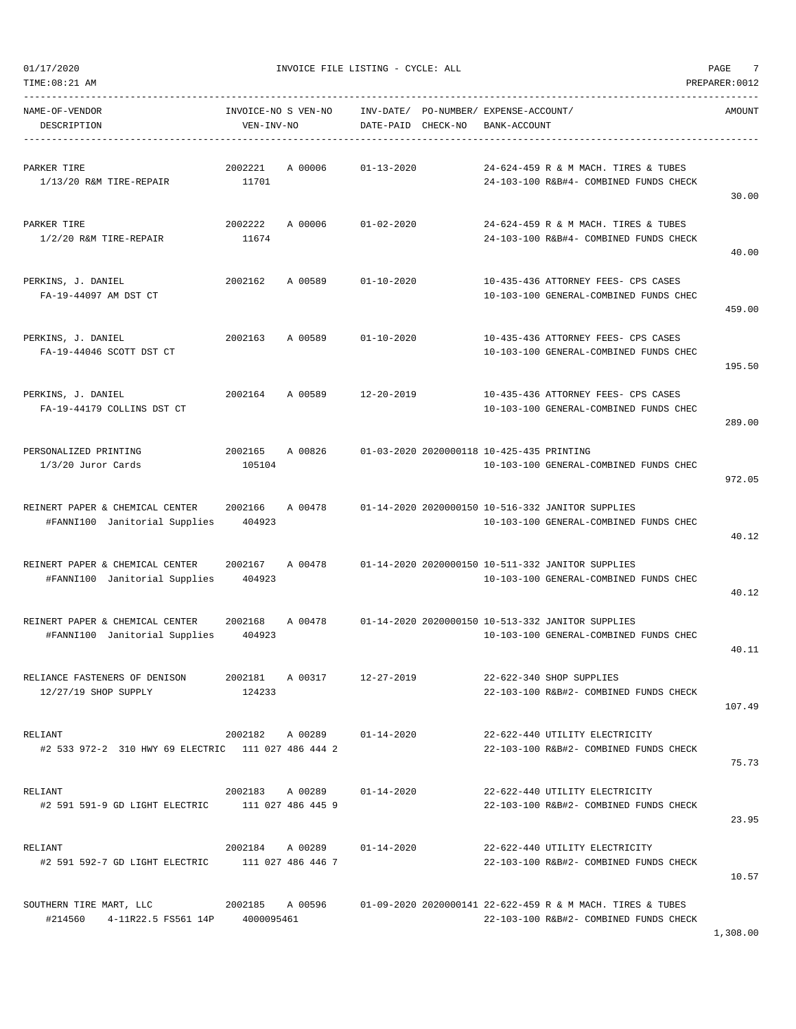| TIME:08:21 AM                                                                           |                                   |                            |                    |                                                       |                                                                                                      | PREPARER: 0012 |
|-----------------------------------------------------------------------------------------|-----------------------------------|----------------------------|--------------------|-------------------------------------------------------|------------------------------------------------------------------------------------------------------|----------------|
| NAME-OF-VENDOR<br>DESCRIPTION                                                           | INVOICE-NO S VEN-NO<br>VEN-INV-NO |                            | DATE-PAID CHECK-NO | INV-DATE/ PO-NUMBER/ EXPENSE-ACCOUNT/<br>BANK-ACCOUNT |                                                                                                      | AMOUNT         |
| PARKER TIRE<br>$1/13/20$ R&M TIRE-REPAIR                                                | 2002221<br>11701                  | A 00006                    | $01 - 13 - 2020$   |                                                       | 24-624-459 R & M MACH. TIRES & TUBES<br>24-103-100 R&B#4- COMBINED FUNDS CHECK                       | 30.00          |
| PARKER TIRE<br>$1/2/20$ R&M TIRE-REPAIR                                                 | 2002222<br>11674                  | A 00006                    | $01 - 02 - 2020$   |                                                       | 24-624-459 R & M MACH. TIRES & TUBES<br>24-103-100 R&B#4- COMBINED FUNDS CHECK                       | 40.00          |
| PERKINS, J. DANIEL<br>FA-19-44097 AM DST CT                                             | 2002162                           | A 00589                    | $01 - 10 - 2020$   |                                                       | 10-435-436 ATTORNEY FEES- CPS CASES<br>10-103-100 GENERAL-COMBINED FUNDS CHEC                        | 459.00         |
| PERKINS, J. DANIEL<br>FA-19-44046 SCOTT DST CT                                          | 2002163                           | A 00589                    | $01 - 10 - 2020$   |                                                       | 10-435-436 ATTORNEY FEES- CPS CASES<br>10-103-100 GENERAL-COMBINED FUNDS CHEC                        | 195.50         |
| PERKINS, J. DANIEL<br>FA-19-44179 COLLINS DST CT                                        | 2002164                           | A 00589                    | $12 - 20 - 2019$   |                                                       | 10-435-436 ATTORNEY FEES- CPS CASES<br>10-103-100 GENERAL-COMBINED FUNDS CHEC                        | 289.00         |
| PERSONALIZED PRINTING<br>$1/3/20$ Juror Cards                                           | 2002165<br>105104                 | A 00826                    |                    | 01-03-2020 2020000118 10-425-435 PRINTING             | 10-103-100 GENERAL-COMBINED FUNDS CHEC                                                               | 972.05         |
| REINERT PAPER & CHEMICAL CENTER<br>#FANNI100 Janitorial Supplies                        | 2002166<br>404923                 | A 00478                    |                    |                                                       | 01-14-2020 2020000150 10-516-332 JANITOR SUPPLIES<br>10-103-100 GENERAL-COMBINED FUNDS CHEC          | 40.12          |
| REINERT PAPER & CHEMICAL CENTER<br>#FANNI100 Janitorial Supplies                        | 2002167<br>404923                 | A 00478                    |                    |                                                       | 01-14-2020 2020000150 10-511-332 JANITOR SUPPLIES<br>10-103-100 GENERAL-COMBINED FUNDS CHEC          | 40.12          |
| REINERT PAPER & CHEMICAL CENTER<br>#FANNI100 Janitorial Supplies                        | 2002168<br>404923                 | A 00478                    |                    |                                                       | 01-14-2020 2020000150 10-513-332 JANITOR SUPPLIES<br>10-103-100 GENERAL-COMBINED FUNDS CHEC          | 40.11          |
| RELIANCE FASTENERS OF DENISON<br>12/27/19 SHOP SUPPLY                                   | 124233                            | 2002181 A 00317            | 12-27-2019         |                                                       | 22-622-340 SHOP SUPPLIES<br>22-103-100 R&B#2- COMBINED FUNDS CHECK                                   | 107.49         |
| RELIANT<br>#2 533 972-2 310 HWY 69 ELECTRIC 111 027 486 444 2                           |                                   | 2002182 A 00289 01-14-2020 |                    |                                                       | 22-622-440 UTILITY ELECTRICITY<br>22-103-100 R&B#2- COMBINED FUNDS CHECK                             | 75.73          |
| RELIANT<br>#2 591 591-9 GD LIGHT ELECTRIC 111 027 486 445 9                             |                                   | 2002183 A 00289 01-14-2020 |                    |                                                       | 22-622-440 UTILITY ELECTRICITY<br>22-103-100 R&B#2- COMBINED FUNDS CHECK                             | 23.95          |
| RELIANT<br>#2 591 592-7 GD LIGHT ELECTRIC 111 027 486 446 7                             |                                   | 2002184 A 00289 01-14-2020 |                    |                                                       | 22-622-440 UTILITY ELECTRICITY<br>22-103-100 R&B#2- COMBINED FUNDS CHECK                             | 10.57          |
| SOUTHERN TIRE MART, LLC $2002185$ A 00596<br>#214560  4-11R22.5  FS561  14P  4000095461 |                                   |                            |                    |                                                       | 01-09-2020 2020000141 22-622-459 R & M MACH. TIRES & TUBES<br>22-103-100 R&B#2- COMBINED FUNDS CHECK |                |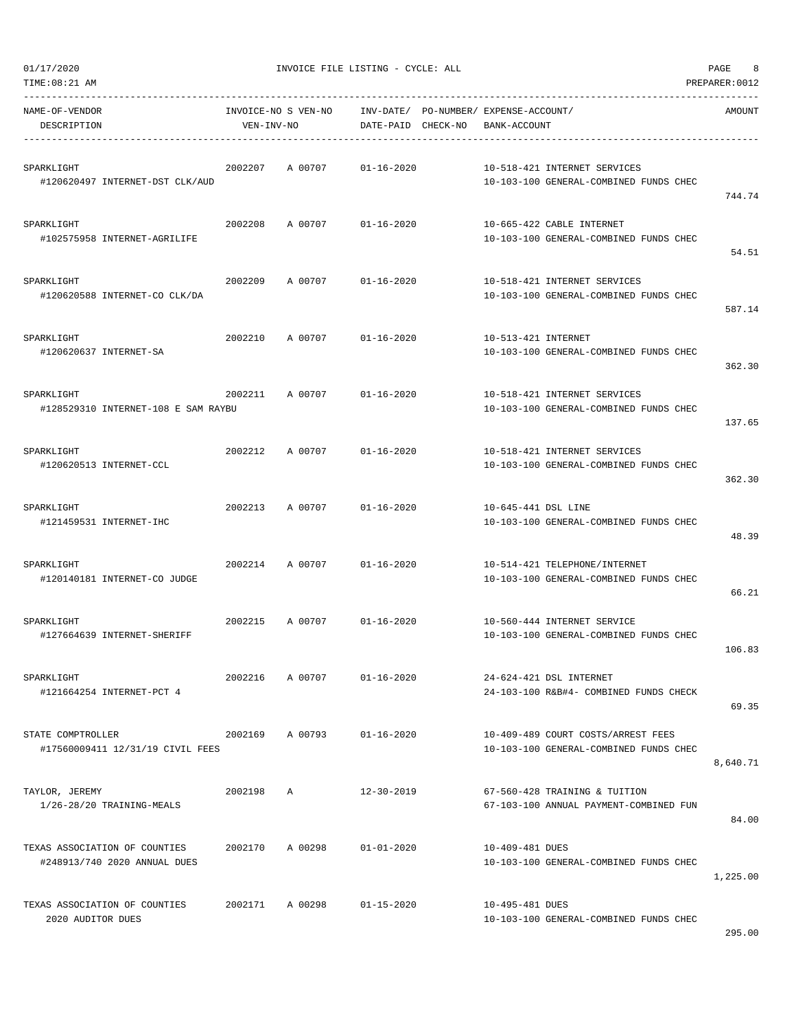| --------------------------------                              |                                   |              |                    |                                                       |                                                                              |          |
|---------------------------------------------------------------|-----------------------------------|--------------|--------------------|-------------------------------------------------------|------------------------------------------------------------------------------|----------|
| NAME-OF-VENDOR<br>DESCRIPTION                                 | INVOICE-NO S VEN-NO<br>VEN-INV-NO |              | DATE-PAID CHECK-NO | INV-DATE/ PO-NUMBER/ EXPENSE-ACCOUNT/<br>BANK-ACCOUNT |                                                                              | AMOUNT   |
| SPARKLIGHT<br>#120620497 INTERNET-DST CLK/AUD                 | 2002207                           | A 00707      | $01 - 16 - 2020$   |                                                       | 10-518-421 INTERNET SERVICES<br>10-103-100 GENERAL-COMBINED FUNDS CHEC       | 744.74   |
| SPARKLIGHT<br>#102575958 INTERNET-AGRILIFE                    | 2002208                           | A 00707      | $01 - 16 - 2020$   |                                                       | 10-665-422 CABLE INTERNET<br>10-103-100 GENERAL-COMBINED FUNDS CHEC          | 54.51    |
| SPARKLIGHT<br>#120620588 INTERNET-CO CLK/DA                   | 2002209                           | A 00707      | $01 - 16 - 2020$   |                                                       | 10-518-421 INTERNET SERVICES<br>10-103-100 GENERAL-COMBINED FUNDS CHEC       | 587.14   |
| SPARKLIGHT<br>#120620637 INTERNET-SA                          | 2002210                           | A 00707      | $01 - 16 - 2020$   | 10-513-421 INTERNET                                   | 10-103-100 GENERAL-COMBINED FUNDS CHEC                                       | 362.30   |
| SPARKLIGHT<br>#128529310 INTERNET-108 E SAM RAYBU             | 2002211                           | A 00707      | $01 - 16 - 2020$   |                                                       | 10-518-421 INTERNET SERVICES<br>10-103-100 GENERAL-COMBINED FUNDS CHEC       | 137.65   |
| SPARKLIGHT<br>#120620513 INTERNET-CCL                         | 2002212                           | A 00707      | $01 - 16 - 2020$   |                                                       | 10-518-421 INTERNET SERVICES<br>10-103-100 GENERAL-COMBINED FUNDS CHEC       | 362.30   |
| SPARKLIGHT<br>#121459531 INTERNET-IHC                         | 2002213                           | A 00707      | $01 - 16 - 2020$   | 10-645-441 DSL LINE                                   | 10-103-100 GENERAL-COMBINED FUNDS CHEC                                       | 48.39    |
| SPARKLIGHT<br>#120140181 INTERNET-CO JUDGE                    | 2002214                           | A 00707      | $01 - 16 - 2020$   |                                                       | 10-514-421 TELEPHONE/INTERNET<br>10-103-100 GENERAL-COMBINED FUNDS CHEC      | 66.21    |
| SPARKLIGHT<br>#127664639 INTERNET-SHERIFF                     | 2002215                           | A 00707      | $01 - 16 - 2020$   |                                                       | 10-560-444 INTERNET SERVICE<br>10-103-100 GENERAL-COMBINED FUNDS CHEC        | 106.83   |
| SPARKLIGHT<br>#121664254 INTERNET-PCT 4                       | 2002216                           | A 00707      | $01 - 16 - 2020$   |                                                       | 24-624-421 DSL INTERNET<br>24-103-100 R&B#4- COMBINED FUNDS CHECK            | 69.35    |
| STATE COMPTROLLER<br>#17560009411 12/31/19 CIVIL FEES         | 2002169                           | A 00793      | $01 - 16 - 2020$   |                                                       | 10-409-489 COURT COSTS/ARREST FEES<br>10-103-100 GENERAL-COMBINED FUNDS CHEC | 8,640.71 |
| TAYLOR, JEREMY<br>1/26-28/20 TRAINING-MEALS                   | 2002198                           | $\mathbb{A}$ | $12 - 30 - 2019$   |                                                       | 67-560-428 TRAINING & TUITION<br>67-103-100 ANNUAL PAYMENT-COMBINED FUN      | 84.00    |
| TEXAS ASSOCIATION OF COUNTIES<br>#248913/740 2020 ANNUAL DUES | 2002170                           | A 00298      | $01 - 01 - 2020$   | 10-409-481 DUES                                       | 10-103-100 GENERAL-COMBINED FUNDS CHEC                                       | 1,225.00 |
| TEXAS ASSOCIATION OF COUNTIES<br>2020 AUDITOR DUES            | 2002171                           | A 00298      | $01 - 15 - 2020$   | 10-495-481 DUES                                       | 10-103-100 GENERAL-COMBINED FUNDS CHEC                                       |          |

TIME:08:21 AM PREPARER:0012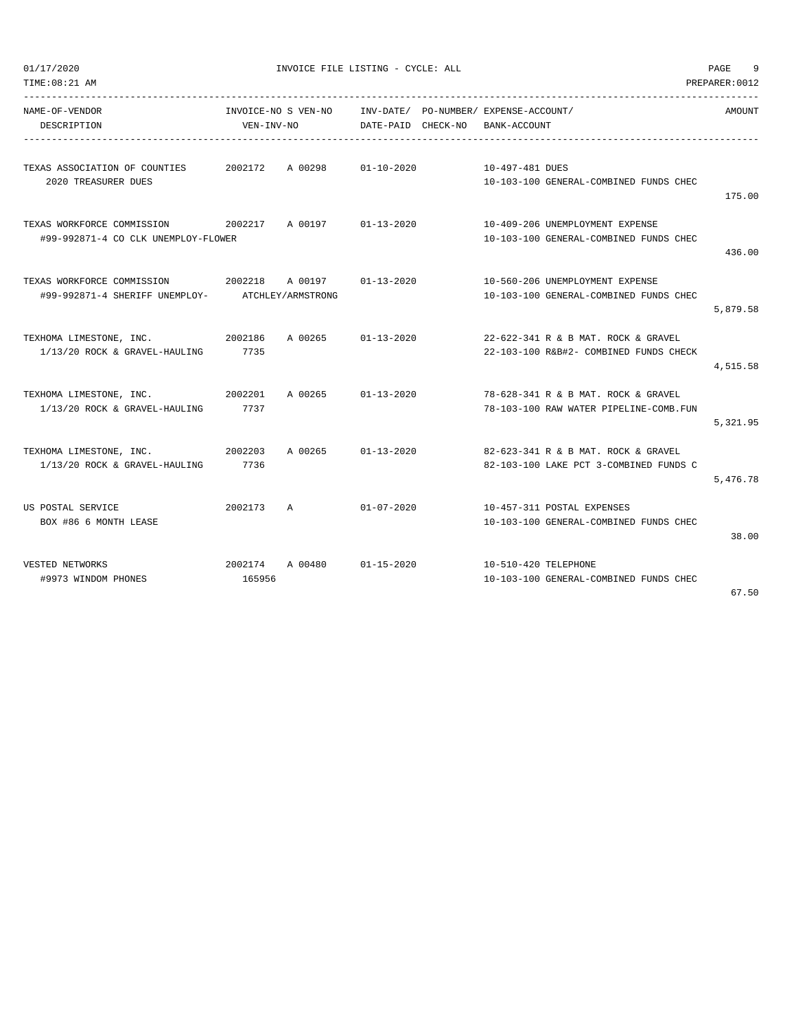| 01/17/2020<br>TIME: 08:21 AM                                      |                                   | INVOICE FILE LISTING - CYCLE: ALL |                    |                                                                               | 9<br>PAGE<br>PREPARER: 0012 |
|-------------------------------------------------------------------|-----------------------------------|-----------------------------------|--------------------|-------------------------------------------------------------------------------|-----------------------------|
| NAME-OF-VENDOR<br>DESCRIPTION                                     | INVOICE-NO S VEN-NO<br>VEN-INV-NO |                                   | DATE-PAID CHECK-NO | INV-DATE/ PO-NUMBER/ EXPENSE-ACCOUNT/<br>BANK-ACCOUNT                         | AMOUNT                      |
| TEXAS ASSOCIATION OF COUNTIES<br>2020 TREASURER DUES              | 2002172                           | A 00298                           | $01 - 10 - 2020$   | 10-497-481 DUES<br>10-103-100 GENERAL-COMBINED FUNDS CHEC                     | 175.00                      |
| TEXAS WORKFORCE COMMISSION<br>#99-992871-4 CO CLK UNEMPLOY-FLOWER | 2002217                           | A 00197                           | $01 - 13 - 2020$   | 10-409-206 UNEMPLOYMENT EXPENSE<br>10-103-100 GENERAL-COMBINED FUNDS CHEC     | 436.00                      |
| TEXAS WORKFORCE COMMISSION<br>#99-992871-4 SHERIFF UNEMPLOY-      | 2002218                           | A 00197<br>ATCHLEY/ARMSTRONG      | $01 - 13 - 2020$   | 10-560-206 UNEMPLOYMENT EXPENSE<br>10-103-100 GENERAL-COMBINED FUNDS CHEC     | 5,879.58                    |
| TEXHOMA LIMESTONE, INC.<br>1/13/20 ROCK & GRAVEL-HAULING          | 2002186<br>7735                   | A 00265                           | $01 - 13 - 2020$   | 22-622-341 R & B MAT. ROCK & GRAVEL<br>22-103-100 R&B#2- COMBINED FUNDS CHECK | 4,515.58                    |
| TEXHOMA LIMESTONE, INC.<br>1/13/20 ROCK & GRAVEL-HAULING          | 2002201<br>7737                   | A 00265                           | $01 - 13 - 2020$   | 78-628-341 R & B MAT. ROCK & GRAVEL<br>78-103-100 RAW WATER PIPELINE-COMB.FUN | 5,321.95                    |
| TEXHOMA LIMESTONE, INC.<br>1/13/20 ROCK & GRAVEL-HAULING          | 2002203<br>7736                   | A 00265                           | $01 - 13 - 2020$   | 82-623-341 R & B MAT. ROCK & GRAVEL<br>82-103-100 LAKE PCT 3-COMBINED FUNDS C | 5,476.78                    |
| US POSTAL SERVICE<br>BOX #86 6 MONTH LEASE                        | 2002173                           | Α                                 | $01 - 07 - 2020$   | 10-457-311 POSTAL EXPENSES<br>10-103-100 GENERAL-COMBINED FUNDS CHEC          | 38.00                       |
| VESTED NETWORKS<br>#9973 WINDOM PHONES                            | 2002174<br>165956                 | A 00480                           | $01 - 15 - 2020$   | 10-510-420 TELEPHONE<br>10-103-100 GENERAL-COMBINED FUNDS CHEC                | 67.50                       |